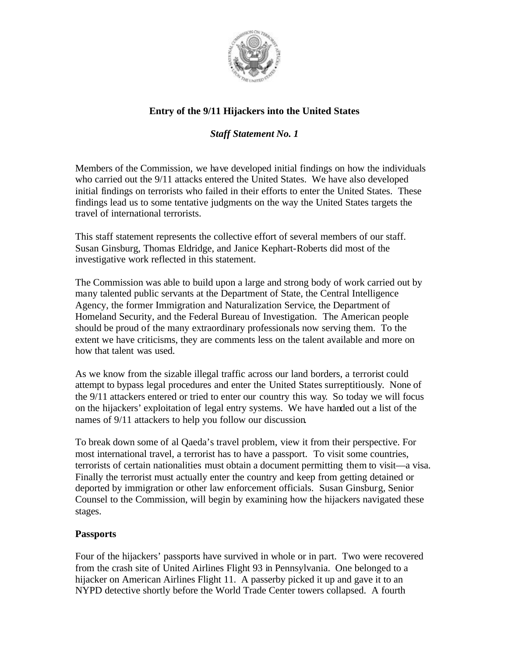

# **Entry of the 9/11 Hijackers into the United States**

## *Staff Statement No. 1*

Members of the Commission, we have developed initial findings on how the individuals who carried out the 9/11 attacks entered the United States. We have also developed initial findings on terrorists who failed in their efforts to enter the United States. These findings lead us to some tentative judgments on the way the United States targets the travel of international terrorists.

This staff statement represents the collective effort of several members of our staff. Susan Ginsburg, Thomas Eldridge, and Janice Kephart-Roberts did most of the investigative work reflected in this statement.

The Commission was able to build upon a large and strong body of work carried out by many talented public servants at the Department of State, the Central Intelligence Agency, the former Immigration and Naturalization Service, the Department of Homeland Security, and the Federal Bureau of Investigation. The American people should be proud of the many extraordinary professionals now serving them. To the extent we have criticisms, they are comments less on the talent available and more on how that talent was used.

As we know from the sizable illegal traffic across our land borders, a terrorist could attempt to bypass legal procedures and enter the United States surreptitiously. None of the 9/11 attackers entered or tried to enter our country this way. So today we will focus on the hijackers' exploitation of legal entry systems. We have handed out a list of the names of 9/11 attackers to help you follow our discussion.

To break down some of al Qaeda's travel problem, view it from their perspective. For most international travel, a terrorist has to have a passport. To visit some countries, terrorists of certain nationalities must obtain a document permitting them to visit—a visa. Finally the terrorist must actually enter the country and keep from getting detained or deported by immigration or other law enforcement officials. Susan Ginsburg, Senior Counsel to the Commission, will begin by examining how the hijackers navigated these stages.

## **Passports**

Four of the hijackers' passports have survived in whole or in part. Two were recovered from the crash site of United Airlines Flight 93 in Pennsylvania. One belonged to a hijacker on American Airlines Flight 11. A passerby picked it up and gave it to an NYPD detective shortly before the World Trade Center towers collapsed. A fourth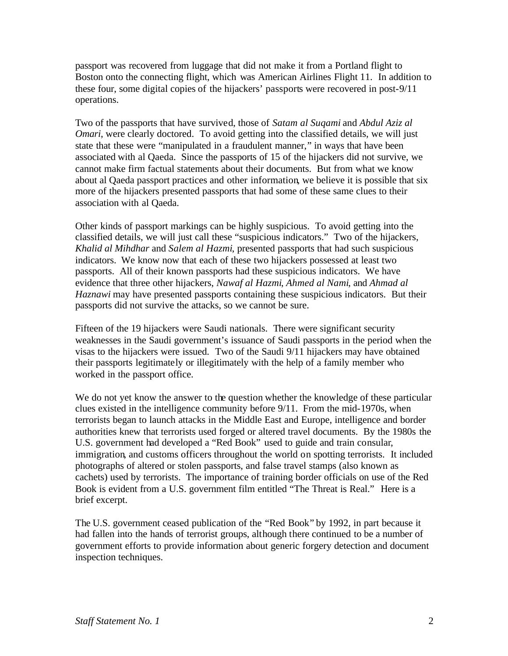passport was recovered from luggage that did not make it from a Portland flight to Boston onto the connecting flight, which was American Airlines Flight 11. In addition to these four, some digital copies of the hijackers' passports were recovered in post-9/11 operations.

Two of the passports that have survived, those of *Satam al Suqami* and *Abdul Aziz al Omari*, were clearly doctored. To avoid getting into the classified details, we will just state that these were "manipulated in a fraudulent manner," in ways that have been associated with al Qaeda. Since the passports of 15 of the hijackers did not survive, we cannot make firm factual statements about their documents. But from what we know about al Qaeda passport practices and other information, we believe it is possible that six more of the hijackers presented passports that had some of these same clues to their association with al Qaeda.

Other kinds of passport markings can be highly suspicious. To avoid getting into the classified details, we will just call these "suspicious indicators." Two of the hijackers, *Khalid al Mihdhar* and *Salem al Hazmi*, presented passports that had such suspicious indicators. We know now that each of these two hijackers possessed at least two passports. All of their known passports had these suspicious indicators. We have evidence that three other hijackers, *Nawaf al Hazmi*, *Ahmed al Nami*, and *Ahmad al Haznawi* may have presented passports containing these suspicious indicators. But their passports did not survive the attacks, so we cannot be sure.

Fifteen of the 19 hijackers were Saudi nationals. There were significant security weaknesses in the Saudi government's issuance of Saudi passports in the period when the visas to the hijackers were issued. Two of the Saudi 9/11 hijackers may have obtained their passports legitimately or illegitimately with the help of a family member who worked in the passport office.

We do not yet know the answer to the question whether the knowledge of these particular clues existed in the intelligence community before 9/11. From the mid-1970s, when terrorists began to launch attacks in the Middle East and Europe, intelligence and border authorities knew that terrorists used forged or altered travel documents. By the 1980s the U.S. government had developed a "Red Book" used to guide and train consular, immigration, and customs officers throughout the world on spotting terrorists. It included photographs of altered or stolen passports, and false travel stamps (also known as cachets) used by terrorists. The importance of training border officials on use of the Red Book is evident from a U.S. government film entitled "The Threat is Real." Here is a brief excerpt.

The U.S. government ceased publication of the "Red Book" by 1992, in part because it had fallen into the hands of terrorist groups, although there continued to be a number of government efforts to provide information about generic forgery detection and document inspection techniques.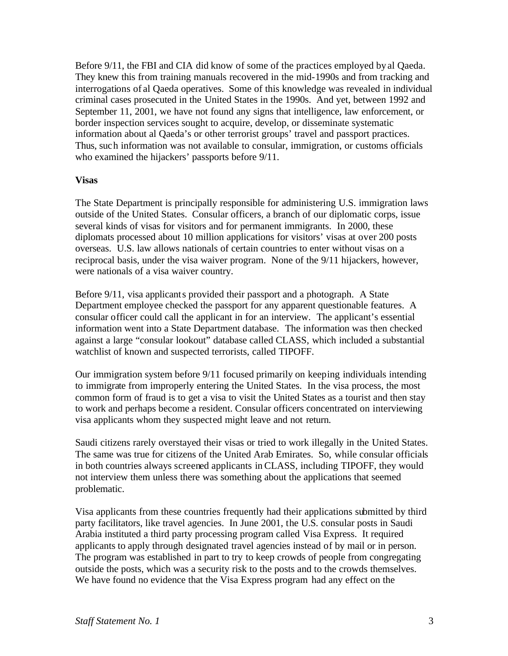Before 9/11, the FBI and CIA did know of some of the practices employed by al Qaeda. They knew this from training manuals recovered in the mid-1990s and from tracking and interrogations of al Qaeda operatives. Some of this knowledge was revealed in individual criminal cases prosecuted in the United States in the 1990s. And yet, between 1992 and September 11, 2001, we have not found any signs that intelligence, law enforcement, or border inspection services sought to acquire, develop, or disseminate systematic information about al Qaeda's or other terrorist groups' travel and passport practices. Thus, such information was not available to consular, immigration, or customs officials who examined the hijackers' passports before 9/11.

### **Visas**

The State Department is principally responsible for administering U.S. immigration laws outside of the United States. Consular officers, a branch of our diplomatic corps, issue several kinds of visas for visitors and for permanent immigrants. In 2000, these diplomats processed about 10 million applications for visitors' visas at over 200 posts overseas. U.S. law allows nationals of certain countries to enter without visas on a reciprocal basis, under the visa waiver program. None of the 9/11 hijackers, however, were nationals of a visa waiver country.

Before 9/11, visa applicants provided their passport and a photograph. A State Department employee checked the passport for any apparent questionable features. A consular officer could call the applicant in for an interview. The applicant's essential information went into a State Department database. The information was then checked against a large "consular lookout" database called CLASS, which included a substantial watchlist of known and suspected terrorists, called TIPOFF.

Our immigration system before 9/11 focused primarily on keeping individuals intending to immigrate from improperly entering the United States. In the visa process, the most common form of fraud is to get a visa to visit the United States as a tourist and then stay to work and perhaps become a resident. Consular officers concentrated on interviewing visa applicants whom they suspected might leave and not return.

Saudi citizens rarely overstayed their visas or tried to work illegally in the United States. The same was true for citizens of the United Arab Emirates. So, while consular officials in both countries always screened applicants in CLASS, including TIPOFF, they would not interview them unless there was something about the applications that seemed problematic.

Visa applicants from these countries frequently had their applications submitted by third party facilitators, like travel agencies. In June 2001, the U.S. consular posts in Saudi Arabia instituted a third party processing program called Visa Express. It required applicants to apply through designated travel agencies instead of by mail or in person. The program was established in part to try to keep crowds of people from congregating outside the posts, which was a security risk to the posts and to the crowds themselves. We have found no evidence that the Visa Express program had any effect on the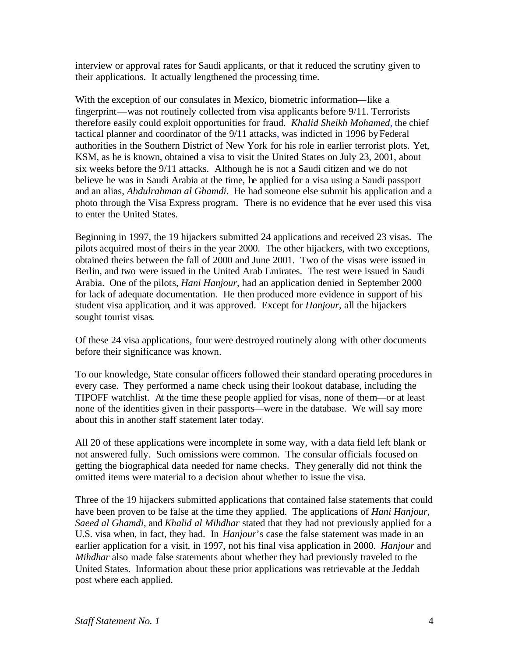interview or approval rates for Saudi applicants, or that it reduced the scrutiny given to their applications. It actually lengthened the processing time.

With the exception of our consulates in Mexico, biometric information—like a fingerprint—was not routinely collected from visa applicants before 9/11. Terrorists therefore easily could exploit opportunities for fraud. *Khalid Sheikh Mohamed,* the chief tactical planner and coordinator of the 9/11 attacks, was indicted in 1996 by Federal authorities in the Southern District of New York for his role in earlier terrorist plots. Yet, KSM, as he is known, obtained a visa to visit the United States on July 23, 2001, about six weeks before the 9/11 attacks. Although he is not a Saudi citizen and we do not believe he was in Saudi Arabia at the time, he applied for a visa using a Saudi passport and an alias, *Abdulrahman al Ghamdi*. He had someone else submit his application and a photo through the Visa Express program. There is no evidence that he ever used this visa to enter the United States.

Beginning in 1997, the 19 hijackers submitted 24 applications and received 23 visas. The pilots acquired most of theirs in the year 2000. The other hijackers, with two exceptions, obtained theirs between the fall of 2000 and June 2001. Two of the visas were issued in Berlin, and two were issued in the United Arab Emirates. The rest were issued in Saudi Arabia. One of the pilots, *Hani Hanjour,* had an application denied in September 2000 for lack of adequate documentation. He then produced more evidence in support of his student visa application, and it was approved. Except for *Hanjour*, all the hijackers sought tourist visas.

Of these 24 visa applications, four were destroyed routinely along with other documents before their significance was known.

To our knowledge, State consular officers followed their standard operating procedures in every case. They performed a name check using their lookout database, including the TIPOFF watchlist. At the time these people applied for visas, none of them—or at least none of the identities given in their passports—were in the database. We will say more about this in another staff statement later today.

All 20 of these applications were incomplete in some way, with a data field left blank or not answered fully. Such omissions were common. The consular officials focused on getting the biographical data needed for name checks. They generally did not think the omitted items were material to a decision about whether to issue the visa.

Three of the 19 hijackers submitted applications that contained false statements that could have been proven to be false at the time they applied. The applications of *Hani Hanjour*, *Saeed al Ghamdi*, and *Khalid al Mihdhar* stated that they had not previously applied for a U.S. visa when, in fact, they had. In *Hanjour*'s case the false statement was made in an earlier application for a visit, in 1997, not his final visa application in 2000. *Hanjour* and *Mihdhar* also made false statements about whether they had previously traveled to the United States. Information about these prior applications was retrievable at the Jeddah post where each applied.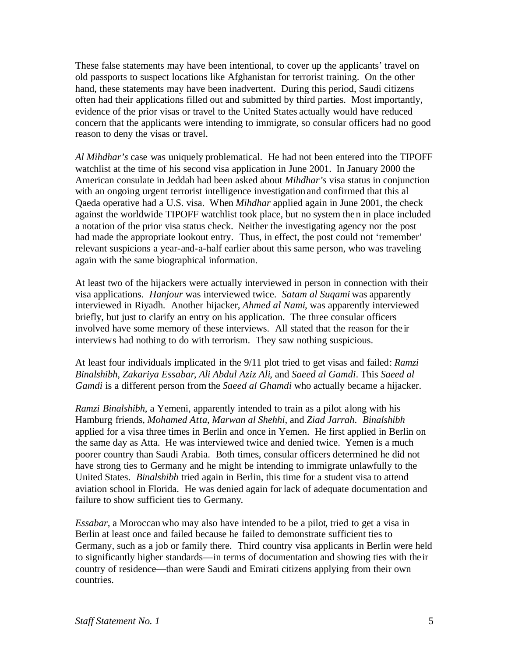These false statements may have been intentional, to cover up the applicants' travel on old passports to suspect locations like Afghanistan for terrorist training. On the other hand, these statements may have been inadvertent. During this period, Saudi citizens often had their applications filled out and submitted by third parties. Most importantly, evidence of the prior visas or travel to the United States actually would have reduced concern that the applicants were intending to immigrate, so consular officers had no good reason to deny the visas or travel.

*Al Mihdhar's* case was uniquely problematical. He had not been entered into the TIPOFF watchlist at the time of his second visa application in June 2001. In January 2000 the American consulate in Jeddah had been asked about *Mihdhar's* visa status in conjunction with an ongoing urgent terrorist intelligence investigation and confirmed that this al Qaeda operative had a U.S. visa. When *Mihdhar* applied again in June 2001, the check against the worldwide TIPOFF watchlist took place, but no system then in place included a notation of the prior visa status check. Neither the investigating agency nor the post had made the appropriate lookout entry. Thus, in effect, the post could not 'remember' relevant suspicions a year-and-a-half earlier about this same person, who was traveling again with the same biographical information.

At least two of the hijackers were actually interviewed in person in connection with their visa applications. *Hanjour* was interviewed twice. *Satam al Suqami* was apparently interviewed in Riyadh. Another hijacker, *Ahmed al Nami*, was apparently interviewed briefly, but just to clarify an entry on his application. The three consular officers involved have some memory of these interviews. All stated that the reason for the ir interviews had nothing to do with terrorism. They saw nothing suspicious.

At least four individuals implicated in the 9/11 plot tried to get visas and failed: *Ramzi Binalshibh*, *Zakariya Essabar*, *Ali Abdul Aziz Ali*, and *Saeed al Gamdi*. This *Saeed al Gamdi* is a different person from the *Saeed al Ghamdi* who actually became a hijacker.

*Ramzi Binalshibh*, a Yemeni, apparently intended to train as a pilot along with his Hamburg friends, *Mohamed Atta*, *Marwan al Shehhi*, and *Ziad Jarrah*. *Binalshibh* applied for a visa three times in Berlin and once in Yemen. He first applied in Berlin on the same day as Atta. He was interviewed twice and denied twice. Yemen is a much poorer country than Saudi Arabia. Both times, consular officers determined he did not have strong ties to Germany and he might be intending to immigrate unlawfully to the United States. *Binalshibh* tried again in Berlin, this time for a student visa to attend aviation school in Florida. He was denied again for lack of adequate documentation and failure to show sufficient ties to Germany.

*Essabar,* a Moroccan who may also have intended to be a pilot, tried to get a visa in Berlin at least once and failed because he failed to demonstrate sufficient ties to Germany, such as a job or family there. Third country visa applicants in Berlin were held to significantly higher standards—in terms of documentation and showing ties with their country of residence—than were Saudi and Emirati citizens applying from their own countries.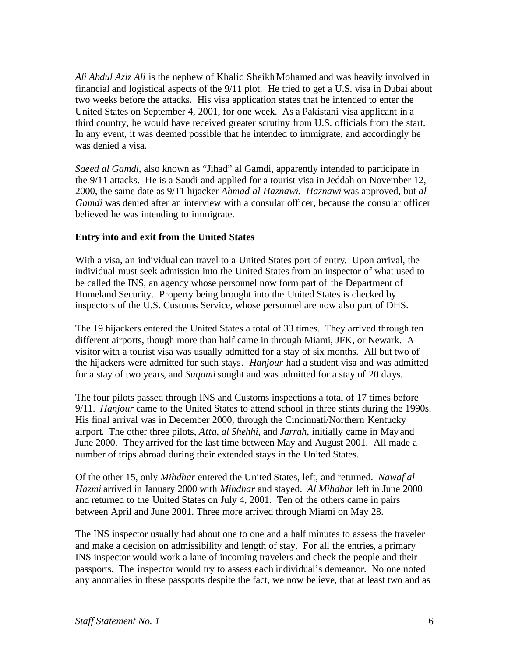*Ali Abdul Aziz Ali* is the nephew of Khalid Sheikh Mohamed and was heavily involved in financial and logistical aspects of the 9/11 plot. He tried to get a U.S. visa in Dubai about two weeks before the attacks. His visa application states that he intended to enter the United States on September 4, 2001, for one week. As a Pakistani visa applicant in a third country, he would have received greater scrutiny from U.S. officials from the start. In any event, it was deemed possible that he intended to immigrate, and accordingly he was denied a visa.

*Saeed al Gamdi*, also known as "Jihad" al Gamdi, apparently intended to participate in the 9/11 attacks. He is a Saudi and applied for a tourist visa in Jeddah on November 12, 2000, the same date as 9/11 hijacker *Ahmad al Haznawi*. *Haznawi* was approved, but *al Gamdi* was denied after an interview with a consular officer, because the consular officer believed he was intending to immigrate.

## **Entry into and exit from the United States**

With a visa, an individual can travel to a United States port of entry. Upon arrival, the individual must seek admission into the United States from an inspector of what used to be called the INS, an agency whose personnel now form part of the Department of Homeland Security. Property being brought into the United States is checked by inspectors of the U.S. Customs Service, whose personnel are now also part of DHS.

The 19 hijackers entered the United States a total of 33 times. They arrived through ten different airports, though more than half came in through Miami, JFK, or Newark. A visitor with a tourist visa was usually admitted for a stay of six months. All but two of the hijackers were admitted for such stays. *Hanjour* had a student visa and was admitted for a stay of two years, and *Suqami* sought and was admitted for a stay of 20 days.

The four pilots passed through INS and Customs inspections a total of 17 times before 9/11. *Hanjour* came to the United States to attend school in three stints during the 1990s. His final arrival was in December 2000, through the Cincinnati/Northern Kentucky airport. The other three pilots, *Atta*, *al Shehhi*, and *Jarrah*, initially came in May and June 2000. They arrived for the last time between May and August 2001. All made a number of trips abroad during their extended stays in the United States.

Of the other 15, only *Mihdhar* entered the United States, left, and returned. *Nawaf al Hazmi* arrived in January 2000 with *Mihdhar* and stayed. *Al Mihdhar* left in June 2000 and returned to the United States on July 4, 2001. Ten of the others came in pairs between April and June 2001. Three more arrived through Miami on May 28.

The INS inspector usually had about one to one and a half minutes to assess the traveler and make a decision on admissibility and length of stay. For all the entries, a primary INS inspector would work a lane of incoming travelers and check the people and their passports. The inspector would try to assess each individual's demeanor. No one noted any anomalies in these passports despite the fact, we now believe, that at least two and as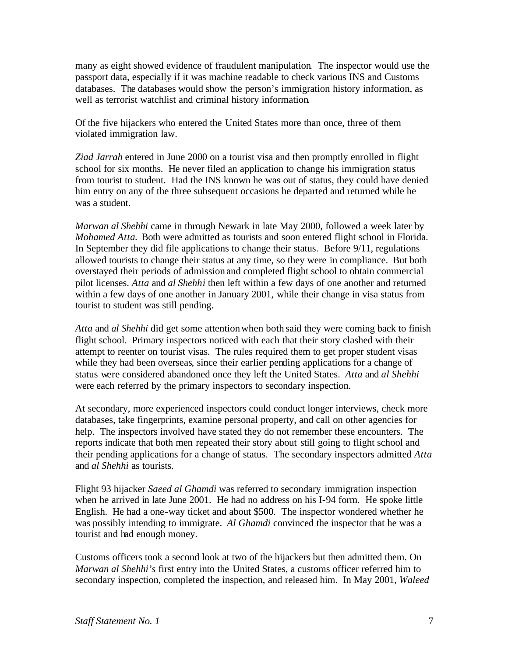many as eight showed evidence of fraudulent manipulation. The inspector would use the passport data, especially if it was machine readable to check various INS and Customs databases. The databases would show the person's immigration history information, as well as terrorist watchlist and criminal history information.

Of the five hijackers who entered the United States more than once, three of them violated immigration law.

*Ziad Jarrah* entered in June 2000 on a tourist visa and then promptly enrolled in flight school for six months. He never filed an application to change his immigration status from tourist to student. Had the INS known he was out of status, they could have denied him entry on any of the three subsequent occasions he departed and returned while he was a student.

*Marwan al Shehhi* came in through Newark in late May 2000, followed a week later by *Mohamed Atta*. Both were admitted as tourists and soon entered flight school in Florida. In September they did file applications to change their status. Before 9/11, regulations allowed tourists to change their status at any time, so they were in compliance. But both overstayed their periods of admission and completed flight school to obtain commercial pilot licenses. *Atta* and *al Shehhi* then left within a few days of one another and returned within a few days of one another in January 2001, while their change in visa status from tourist to student was still pending.

*Atta* and *al Shehhi* did get some attention when both said they were coming back to finish flight school. Primary inspectors noticed with each that their story clashed with their attempt to reenter on tourist visas. The rules required them to get proper student visas while they had been overseas, since their earlier pending applications for a change of status were considered abandoned once they left the United States. *Atta* and *al Shehhi* were each referred by the primary inspectors to secondary inspection.

At secondary, more experienced inspectors could conduct longer interviews, check more databases, take fingerprints, examine personal property, and call on other agencies for help. The inspectors involved have stated they do not remember these encounters. The reports indicate that both men repeated their story about still going to flight school and their pending applications for a change of status. The secondary inspectors admitted *Atta* and *al Shehhi* as tourists.

Flight 93 hijacker *Saeed al Ghamdi* was referred to secondary immigration inspection when he arrived in late June 2001. He had no address on his I-94 form. He spoke little English. He had a one-way ticket and about \$500. The inspector wondered whether he was possibly intending to immigrate. *Al Ghamdi* convinced the inspector that he was a tourist and had enough money.

Customs officers took a second look at two of the hijackers but then admitted them. On *Marwan al Shehhi's* first entry into the United States, a customs officer referred him to secondary inspection, completed the inspection, and released him. In May 2001, *Waleed*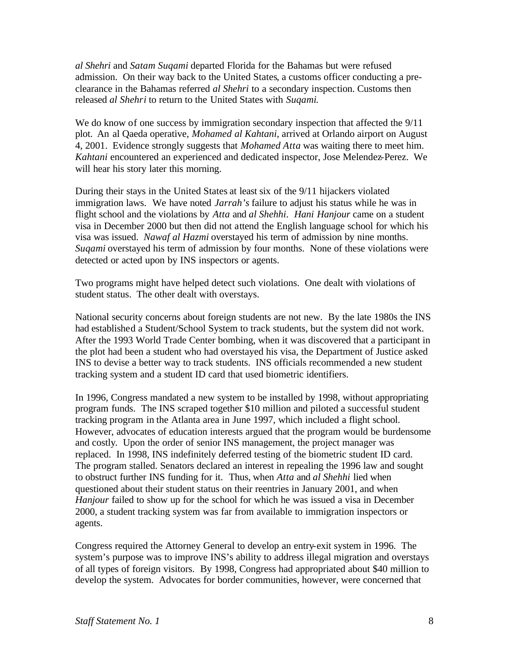*al Shehri* and *Satam Suqami* departed Florida for the Bahamas but were refused admission. On their way back to the United States, a customs officer conducting a preclearance in the Bahamas referred *al Shehri* to a secondary inspection. Customs then released *al Shehri* to return to the United States with *Suqami*.

We do know of one success by immigration secondary inspection that affected the  $9/11$ plot. An al Qaeda operative, *Mohamed al Kahtani*, arrived at Orlando airport on August 4, 2001. Evidence strongly suggests that *Mohamed Atta* was waiting there to meet him. *Kahtani* encountered an experienced and dedicated inspector, Jose Melendez-Perez. We will hear his story later this morning.

During their stays in the United States at least six of the 9/11 hijackers violated immigration laws. We have noted *Jarrah's* failure to adjust his status while he was in flight school and the violations by *Atta* and *al Shehhi*. *Hani Hanjour* came on a student visa in December 2000 but then did not attend the English language school for which his visa was issued. *Nawaf al Hazmi* overstayed his term of admission by nine months. *Suqami* overstayed his term of admission by four months. None of these violations were detected or acted upon by INS inspectors or agents.

Two programs might have helped detect such violations. One dealt with violations of student status. The other dealt with overstays.

National security concerns about foreign students are not new. By the late 1980s the INS had established a Student/School System to track students, but the system did not work. After the 1993 World Trade Center bombing, when it was discovered that a participant in the plot had been a student who had overstayed his visa, the Department of Justice asked INS to devise a better way to track students. INS officials recommended a new student tracking system and a student ID card that used biometric identifiers.

In 1996, Congress mandated a new system to be installed by 1998, without appropriating program funds. The INS scraped together \$10 million and piloted a successful student tracking program in the Atlanta area in June 1997, which included a flight school. However, advocates of education interests argued that the program would be burdensome and costly. Upon the order of senior INS management, the project manager was replaced. In 1998, INS indefinitely deferred testing of the biometric student ID card. The program stalled. Senators declared an interest in repealing the 1996 law and sought to obstruct further INS funding for it. Thus, when *Atta* and *al Shehhi* lied when questioned about their student status on their reentries in January 2001, and when *Hanjour* failed to show up for the school for which he was issued a visa in December 2000, a student tracking system was far from available to immigration inspectors or agents.

Congress required the Attorney General to develop an entry-exit system in 1996. The system's purpose was to improve INS's ability to address illegal migration and overstays of all types of foreign visitors. By 1998, Congress had appropriated about \$40 million to develop the system. Advocates for border communities, however, were concerned that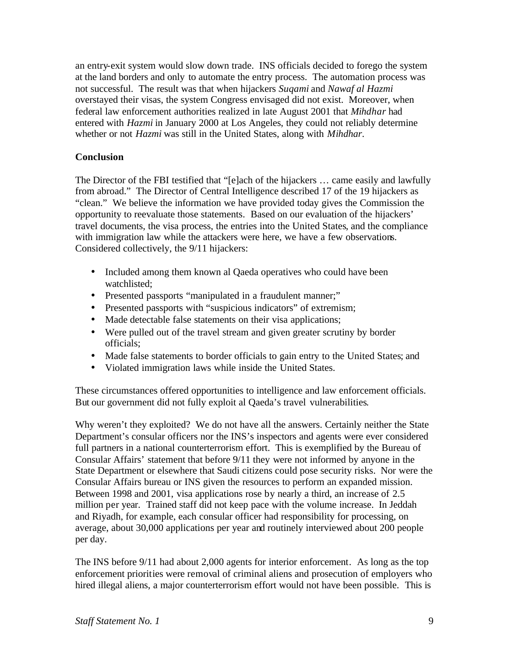an entry-exit system would slow down trade. INS officials decided to forego the system at the land borders and only to automate the entry process. The automation process was not successful. The result was that when hijackers *Suqami* and *Nawaf al Hazmi* overstayed their visas, the system Congress envisaged did not exist. Moreover, when federal law enforcement authorities realized in late August 2001 that *Mihdhar* had entered with *Hazmi* in January 2000 at Los Angeles, they could not reliably determine whether or not *Hazmi* was still in the United States, along with *Mihdhar*.

## **Conclusion**

The Director of the FBI testified that "[e]ach of the hijackers … came easily and lawfully from abroad." The Director of Central Intelligence described 17 of the 19 hijackers as "clean." We believe the information we have provided today gives the Commission the opportunity to reevaluate those statements. Based on our evaluation of the hijackers' travel documents, the visa process, the entries into the United States, and the compliance with immigration law while the attackers were here, we have a few observations. Considered collectively, the 9/11 hijackers:

- Included among them known al Qaeda operatives who could have been watchlisted;
- Presented passports "manipulated in a fraudulent manner;"
- Presented passports with "suspicious indicators" of extremism;
- Made detectable false statements on their visa applications;
- Were pulled out of the travel stream and given greater scrutiny by border officials;
- Made false statements to border officials to gain entry to the United States; and
- Violated immigration laws while inside the United States.

These circumstances offered opportunities to intelligence and law enforcement officials. But our government did not fully exploit al Qaeda's travel vulnerabilities.

Why weren't they exploited? We do not have all the answers. Certainly neither the State Department's consular officers nor the INS's inspectors and agents were ever considered full partners in a national counterterrorism effort. This is exemplified by the Bureau of Consular Affairs' statement that before 9/11 they were not informed by anyone in the State Department or elsewhere that Saudi citizens could pose security risks. Nor were the Consular Affairs bureau or INS given the resources to perform an expanded mission. Between 1998 and 2001, visa applications rose by nearly a third, an increase of 2.5 million per year. Trained staff did not keep pace with the volume increase. In Jeddah and Riyadh, for example, each consular officer had responsibility for processing, on average, about 30,000 applications per year and routinely interviewed about 200 people per day.

The INS before 9/11 had about 2,000 agents for interior enforcement. As long as the top enforcement priorities were removal of criminal aliens and prosecution of employers who hired illegal aliens, a major counterterrorism effort would not have been possible. This is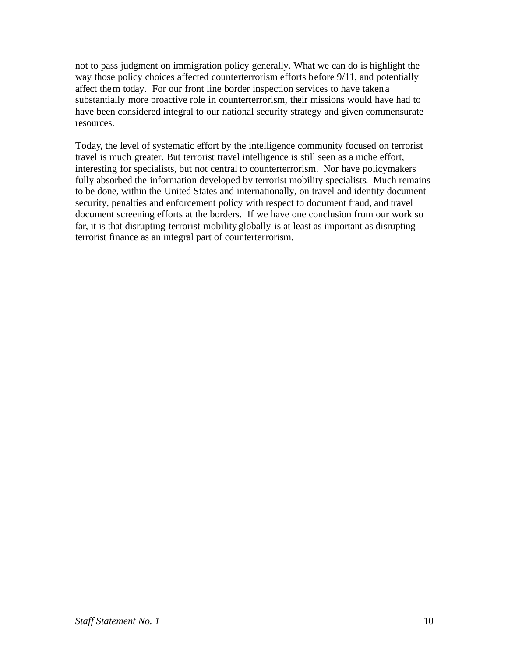not to pass judgment on immigration policy generally. What we can do is highlight the way those policy choices affected counterterrorism efforts before  $9/11$ , and potentially affect them today. For our front line border inspection services to have taken a substantially more proactive role in counterterrorism, their missions would have had to have been considered integral to our national security strategy and given commensurate resources.

Today, the level of systematic effort by the intelligence community focused on terrorist travel is much greater. But terrorist travel intelligence is still seen as a niche effort, interesting for specialists, but not central to counterterrorism. Nor have policymakers fully absorbed the information developed by terrorist mobility specialists. Much remains to be done, within the United States and internationally, on travel and identity document security, penalties and enforcement policy with respect to document fraud, and travel document screening efforts at the borders. If we have one conclusion from our work so far, it is that disrupting terrorist mobility globally is at least as important as disrupting terrorist finance as an integral part of counterterrorism.